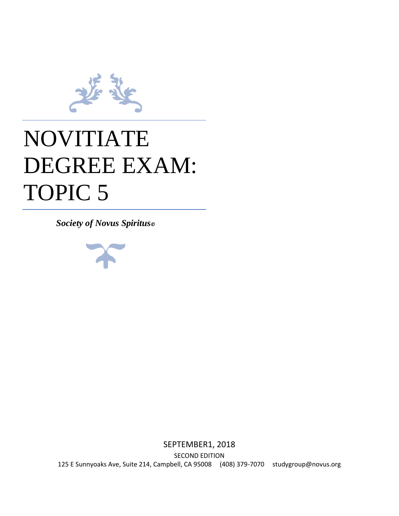

# NOVITIATE DEGREE EXAM: TOPIC 5

*Society of Novus Spiritus©*



SEPTEMBER1, 2018 SECOND EDITION 125 E Sunnyoaks Ave, Suite 214, Campbell, CA 95008 (408) 379-7070 studygroup@novus.org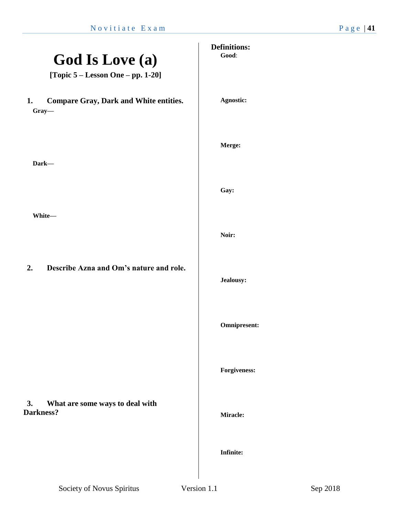l,

| <b>God Is Love (a)</b><br>[Topic $5 -$ Lesson One $-$ pp. 1-20] | <b>Definitions:</b><br>Good: |
|-----------------------------------------------------------------|------------------------------|
| <b>Compare Gray, Dark and White entities.</b><br>1.<br>Gray-    | Agnostic:                    |
| Dark-                                                           | Merge:                       |
| White-                                                          | Gay:                         |
|                                                                 | Noir:                        |
| Describe Azna and Om's nature and role.<br>2.                   | Jealousy:                    |
|                                                                 | <b>Omnipresent:</b>          |
| What are some ways to deal with<br>3.                           | <b>Forgiveness:</b>          |
| Darkness?                                                       | Miracle:                     |
|                                                                 | <b>Infinite:</b>             |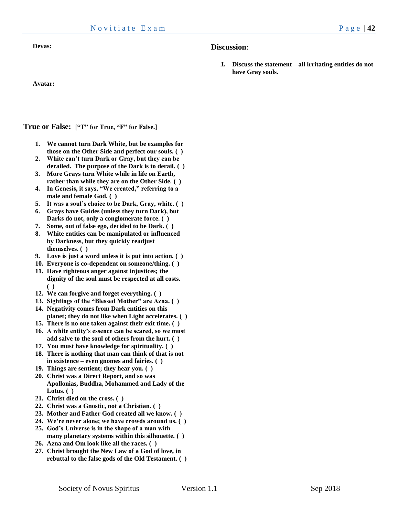**Devas:**

**Avatar:**

**True or False: ["T" for True, "F" for False.]**

- **1. We cannot turn Dark White, but be examples for those on the Other Side and perfect our souls. ( )**
- **2. White can't turn Dark or Gray, but they can be derailed. The purpose of the Dark is to derail. ( )**
- **3. More Grays turn White while in life on Earth, rather than while they are on the Other Side. ( )**
- **4. In Genesis, it says, "We created," referring to a male and female God. ( )**
- **5. It was a soul's choice to be Dark, Gray, white. ( )**
- **6. Grays have Guides (unless they turn Dark), but Darks do not, only a conglomerate force. ( )**
- **7. Some, out of false ego, decided to be Dark. ( )**
- **8. White entities can be manipulated or influenced by Darkness, but they quickly readjust themselves. ( )**
- **9. Love is just a word unless it is put into action. ( )**
- **10. Everyone is co-dependent on someone/thing. ( )**
- **11. Have righteous anger against injustices; the dignity of the soul must be respected at all costs. ( )**
- **12. We can forgive and forget everything. ( )**
- **13. Sightings of the "Blessed Mother" are Azna. ( )**
- **14. Negativity comes from Dark entities on this planet; they do not like when Light accelerates. ( )**
- **15. There is no one taken against their exit time. ( )**
- **16. A white entity's essence can be scared, so we must add salve to the soul of others from the hurt. ( )**
- **17. You must have knowledge for spirituality. ( )**
- **18. There is nothing that man can think of that is not in existence – even gnomes and fairies. ( )**
- **19. Things are sentient; they hear you. ( )**
- **20. Christ was a Direct Report, and so was Apollonias, Buddha, Mohammed and Lady of the Lotus. ( )**
- **21. Christ died on the cross. ( )**
- **22. Christ was a Gnostic, not a Christian. ( )**
- **23. Mother and Father God created all we know. ( )**
- **24. We're never alone; we have crowds around us. ( )**
- **25. God's Universe is in the shape of a man with many planetary systems within this silhouette. ( )**
- **26. Azna and Om look like all the races. ( )**
- **27. Christ brought the New Law of a God of love, in rebuttal to the false gods of the Old Testament. ( )**

# **Discussion**:

*1.* **Discuss the statement – all irritating entities do not have Gray souls.**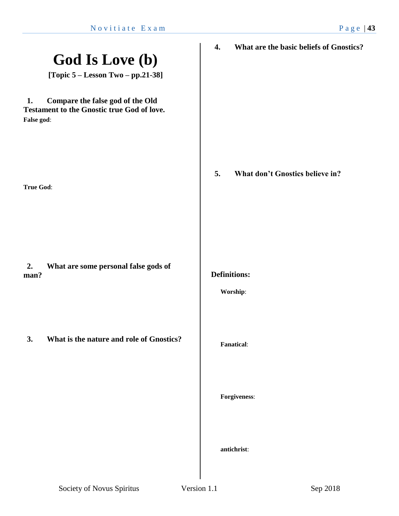| <b>God Is Love (b)</b><br>[Topic $5 -$ Lesson Two $-$ pp.21-38]                                           | What are the basic beliefs of Gnostics?<br>$\boldsymbol{4}$ . |
|-----------------------------------------------------------------------------------------------------------|---------------------------------------------------------------|
| Compare the false god of the Old<br>1.<br><b>Testament to the Gnostic true God of love.</b><br>False god: |                                                               |
| <b>True God:</b>                                                                                          | 5.<br>What don't Gnostics believe in?                         |
| What are some personal false gods of<br>2.<br>man?                                                        | <b>Definitions:</b><br>Worship:                               |
| What is the nature and role of Gnostics?<br>3.                                                            | <b>Fanatical:</b>                                             |
|                                                                                                           | Forgiveness:                                                  |
|                                                                                                           | antichrist:                                                   |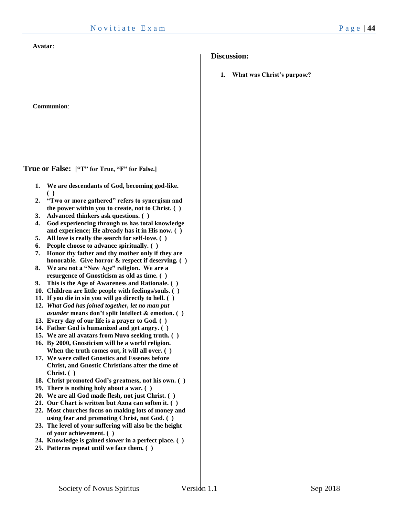#### **Avatar**:

**Communion**:

**True or False: ["T" for True, "F" for False.]**

- **1. We are descendants of God, becoming god-like. ( )**
- **2. "Two or more gathered" refers to synergism and the power within you to create, not to Christ. ( )**
- **3. Advanced thinkers ask questions. ( )**
- **4. God experiencing through us has total knowledge and experience; He already has it in His now. ( )**
- **5. All love is really the search for self-love. ( )**
- **6. People choose to advance spiritually. ( )**
- **7. Honor thy father and thy mother only if they are honorable. Give horror & respect if deserving. ( )**
- **8. We are not a "New Age" religion. We are a resurgence of Gnosticism as old as time. ( )**
- **9. This is the Age of Awareness and Rationale. ( )**
- **10. Children are little people with feelings/souls. ( )**
- **11. If you die in sin you will go directly to hell. ( )**
- **12.** *What God has joined together, let no man put asunder* **means don't split intellect & emotion. ( )**
- **13. Every day of our life is a prayer to God. ( )**
- **14. Father God is humanized and get angry. ( )**
- **15. We are all avatars from Nuvo seeking truth. ( )**
- **16. By 2000, Gnosticism will be a world religion. When the truth comes out, it will all over. ( )**
- **17. We were called Gnostics and Essenes before Christ, and Gnostic Christians after the time of Christ. ( )**
- **18. Christ promoted God's greatness, not his own. ( )**
- **19. There is nothing holy about a war. ( )**
- **20. We are all God made flesh, not just Christ. ( )**
- **21. Our Chart is written but Azna can soften it. ( )**
- **22. Most churches focus on making lots of money and using fear and promoting Christ, not God. ( )**
- **23. The level of your suffering will also be the height of your achievement. ( )**
- **24. Knowledge is gained slower in a perfect place. ( )**
- **25. Patterns repeat until we face them. ( )**

# **Discussion:**

**1. What was Christ's purpose?**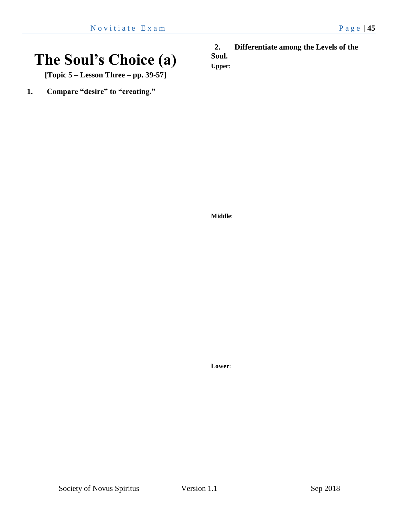# **The Soul's Choice (a)**

**[Topic 5 – Lesson Three – pp. 39-57]**

**1. Compare "desire" to "creating."**

# **2. Differentiate among the Levels of the Soul.**

**Upper**:

# **Middle**:

**Lower**:

Society of Novus Spiritus Version 1.1 Sep 2018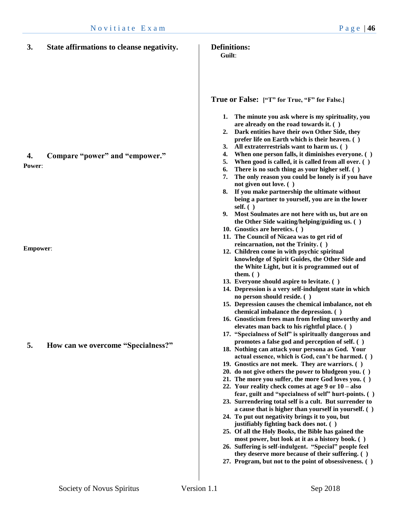| 3.              | State affirmations to cleanse negativity. | <b>Definitions:</b><br>Guilt:                                                                                                                                                                                                                                                                                                                                                                                                                                                                                                                                                                                                                                                                                                                                                                                                                                                                                                                                                                                                                                                                                                                                                                                                                                                                                                                               |
|-----------------|-------------------------------------------|-------------------------------------------------------------------------------------------------------------------------------------------------------------------------------------------------------------------------------------------------------------------------------------------------------------------------------------------------------------------------------------------------------------------------------------------------------------------------------------------------------------------------------------------------------------------------------------------------------------------------------------------------------------------------------------------------------------------------------------------------------------------------------------------------------------------------------------------------------------------------------------------------------------------------------------------------------------------------------------------------------------------------------------------------------------------------------------------------------------------------------------------------------------------------------------------------------------------------------------------------------------------------------------------------------------------------------------------------------------|
| 4.<br>Power:    | Compare "power" and "empower."            | True or False: ["T" for True, "F" for False.]<br>The minute you ask where is my spirituality, you<br>1.<br>are already on the road towards it. ()<br>Dark entities have their own Other Side, they<br>2.<br>prefer life on Earth which is their heaven. ()<br>All extraterrestrials want to harm us. ()<br>3.<br>When one person falls, it diminishes everyone. ()<br>4.<br>When good is called, it is called from all over. ()<br>5.<br>There is no such thing as your higher self. ()<br>6.<br>The only reason you could be lonely is if you have<br>7.<br>not given out love. ()<br>8. If you make partnership the ultimate without<br>being a partner to yourself, you are in the lower<br>self. $( )$<br>9. Most Soulmates are not here with us, but are on<br>the Other Side waiting/helping/guiding us. ()<br>10. Gnostics are heretics. ()<br>11. The Council of Nicaea was to get rid of                                                                                                                                                                                                                                                                                                                                                                                                                                                           |
| <b>Empower:</b> |                                           | reincarnation, not the Trinity. ()<br>12. Children come in with psychic spiritual                                                                                                                                                                                                                                                                                                                                                                                                                                                                                                                                                                                                                                                                                                                                                                                                                                                                                                                                                                                                                                                                                                                                                                                                                                                                           |
| 5.              | How can we overcome "Specialness?"        | knowledge of Spirit Guides, the Other Side and<br>the White Light, but it is programmed out of<br>them. $( )$<br>13. Everyone should aspire to levitate. ()<br>14. Depression is a very self-indulgent state in which<br>no person should reside. ()<br>15. Depression causes the chemical imbalance, not eh<br>chemical imbalance the depression. ()<br>16. Gnosticism frees man from feeling unworthy and<br>elevates man back to his rightful place. ()<br>17. "Specialness of Self" is spiritually dangerous and<br>promotes a false god and perception of self. ()<br>18. Nothing can attack your persona as God. Your<br>actual essence, which is God, can't be harmed. ()<br>19. Gnostics are not meek. They are warriors. ()<br>20. do not give others the power to bludgeon you. ()<br>21. The more you suffer, the more God loves you. ()<br>22. Your reality check comes at age $9$ or $10 - also$<br>fear, guilt and "specialness of self" hurt-points. ()<br>23. Surrendering total self is a cult. But surrender to<br>a cause that is higher than yourself in yourself. ()<br>24. To put out negativity brings it to you, but<br>justifiably fighting back does not. ()<br>25. Of all the Holy Books, the Bible has gained the<br>most power, but look at it as a history book. ()<br>26. Suffering is self-indulgent. "Special" people feel |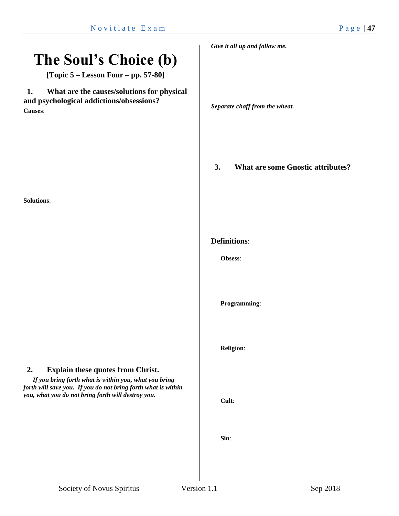# **The Soul's Choice (b)**

**[Topic 5 – Lesson Four – pp. 57-80]**

**1. What are the causes/solutions for physical and psychological addictions/obsessions? Causes**:

**Solutions**:

# **2. Explain these quotes from Christ.**

*If you bring forth what is within you, what you bring forth will save you. If you do not bring forth what is within you, what you do not bring forth will destroy you.*

*Give it all up and follow me.*

*Separate chaff from the wheat.*

**3. What are some Gnostic attributes?**

### **Definitions**:

**Obsess**:

**Programming**:

**Religion**:

**Cult**:

**Sin**: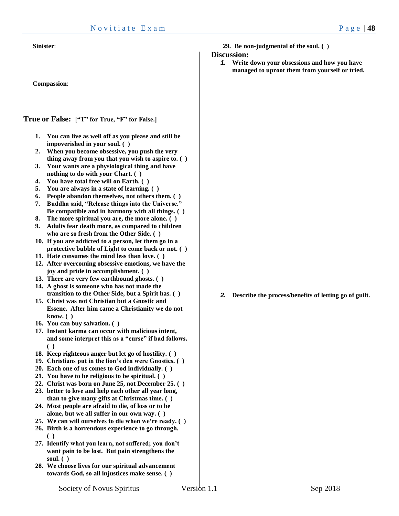**Compassion**:

**True or False: ["T" for True, "F" for False.]**

- **1. You can live as well off as you please and still be impoverished in your soul. ( )**
- **2. When you become obsessive, you push the very thing away from you that you wish to aspire to. ( )**
- **3. Your wants are a physiological thing and have nothing to do with your Chart. ( )**
- **4. You have total free will on Earth. ( )**
- **5. You are always in a state of learning. ( )**
- **6. People abandon themselves, not others them. ( )**
- **7. Buddha said, "Release things into the Universe." Be compatible and in harmony with all things. ( )**
- **8. The more spiritual you are, the more alone. ( )**
- **9. Adults fear death more, as compared to children who are so fresh from the Other Side. ( )**
- **10. If you are addicted to a person, let them go in a protective bubble of Light to come back or not. ( )**
- **11. Hate consumes the mind less than love. ( )**
- **12. After overcoming obsessive emotions, we have the joy and pride in accomplishment. ( )**
- **13. There are very few earthbound ghosts. ( )**
- **14. A ghost is someone who has not made the transition to the Other Side, but a Spirit has. ( )**
- **15. Christ was not Christian but a Gnostic and Essene. After him came a Christianity we do not know. ( )**
- **16. You can buy salvation. ( )**
- **17. Instant karma can occur with malicious intent, and some interpret this as a "curse" if bad follows. ( )**
- **18. Keep righteous anger but let go of hostility. ( )**
- **19. Christians put in the lion's den were Gnostics. ( )**
- **20. Each one of us comes to God individually. ( )**
- **21. You have to be religious to be spiritual. ( )**
- **22. Christ was born on June 25, not December 25. ( )**
- **23. better to love and help each other all year long, than to give many gifts at Christmas time. ( )**
- **24. Most people are afraid to die, of loss or to be alone, but we all suffer in our own way. ( )**
- **25. We can will ourselves to die when we're ready. ( )**
- **26. Birth is a horrendous experience to go through. ( )**
- **27. Identify what you learn, not suffered; you don't want pain to be lost. But pain strengthens the soul. ( )**
- **28. We choose lives for our spiritual advancement towards God, so all injustices make sense. ( )**

#### **Discussion:**

*1.* **Write down your obsessions and how you have managed to uproot them from yourself or tried.** 

*2.* **Describe the process/benefits of letting go of guilt.**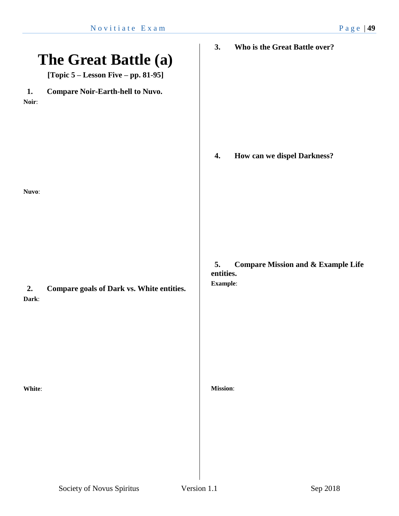|             | The Great Battle (a)<br>[Topic $5 -$ Lesson Five $-$ pp. 81-95] | Who is the Great Battle over?<br>3.                                          |
|-------------|-----------------------------------------------------------------|------------------------------------------------------------------------------|
| 1.<br>Noir: | <b>Compare Noir-Earth-hell to Nuvo.</b>                         |                                                                              |
| Nuvo:       |                                                                 | How can we dispel Darkness?<br>4.                                            |
| 2.<br>Dark: | Compare goals of Dark vs. White entities.                       | <b>Compare Mission and &amp; Example Life</b><br>5.<br>entities.<br>Example: |
| White:      |                                                                 | <b>Mission:</b>                                                              |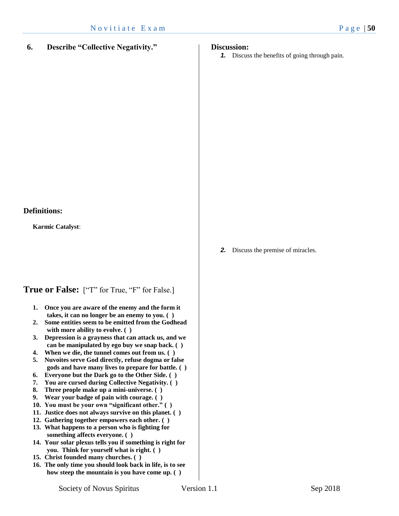# **6. Describe "Collective Negativity."**

### **Discussion:**

*1.* Discuss the benefits of going through pain.

**Karmic Catalyst**:

# **True or False:** ["T" for True, "F" for False.]

- **1. Once you are aware of the enemy and the form it takes, it can no longer be an enemy to you. ( )**
- **2. Some entities seem to be emitted from the Godhead with more ability to evolve. ( )**
- **3. Depression is a grayness that can attack us, and we can be manipulated by ego buy we snap back. ( )**
- **4. When we die, the tunnel comes out from us. ( )**
- **5. Nuvoites serve God directly, refuse dogma or false gods and have many lives to prepare for battle. ( )**
- **6. Everyone but the Dark go to the Other Side. ( )**
- **7. You are cursed during Collective Negativity. ( )**
- **8. Three people make up a mini-universe. ( )**
- **9. Wear your badge of pain with courage. ( )**
- **10. You must be your own "significant other." ( )**
- **11. Justice does not always survive on this planet. ( )**
- **12. Gathering together empowers each other. ( )**
- **13. What happens to a person who is fighting for something affects everyone. ( )**
- **14. Your solar plexus tells you if something is right for you. Think for yourself what is right. ( )**
- **15. Christ founded many churches. ( )**
- **16. The only time you should look back in life, is to see how steep the mountain is you have come up. ( )**

## *2.* Discuss the premise of miracles.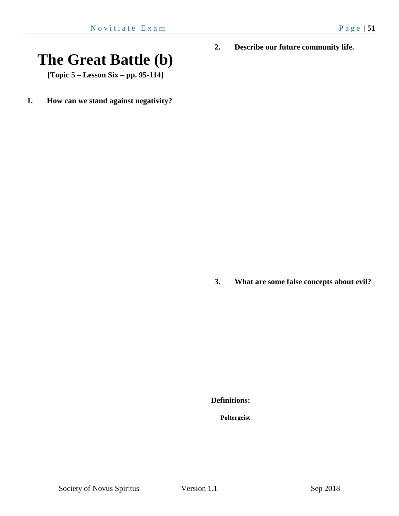**The Great Battle (b)**

**[Topic 5 – Lesson Six – pp. 95-114]**

**1. How can we stand against negativity?**

**2. Describe our future community life.**

# **3. What are some false concepts about evil?**

## **Definitions:**

# **Poltergeist**: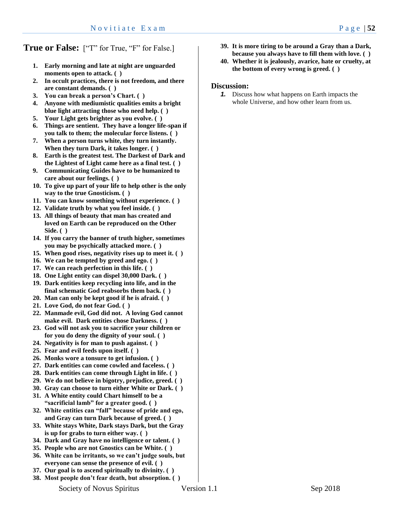# **True or False:** ["T" for True, "F" for False.]

- **1. Early morning and late at night are unguarded moments open to attack. ( )**
- **2. In occult practices, there is not freedom, and there are constant demands. ( )**
- **3. You can break a person's Chart. ( )**
- **4. Anyone with mediumistic qualities emits a bright blue light attracting those who need help. ( )**
- **5. Your Light gets brighter as you evolve. ( )**
- **6. Things are sentient. They have a longer life-span if you talk to them; the molecular force listens. ( )**
- **7. When a person turns white, they turn instantly. When they turn Dark, it takes longer. ( )**
- **8. Earth is the greatest test. The Darkest of Dark and the Lightest of Light came here as a final test. ( )**
- **9. Communicating Guides have to be humanized to care about our feelings. ( )**
- **10. To give up part of your life to help other is the only way to the true Gnosticism. ( )**
- **11. You can know something without experience. ( )**
- **12. Validate truth by what you feel inside. ( )**
- **13. All things of beauty that man has created and loved on Earth can be reproduced on the Other Side. ( )**
- **14. If you carry the banner of truth higher, sometimes you may be psychically attacked more. ( )**
- **15. When good rises, negativity rises up to meet it. ( )**
- **16. We can be tempted by greed and ego. ( )**
- **17. We can reach perfection in this life. ( )**
- **18. One Light entity can dispel 30,000 Dark. ( )**
- **19. Dark entities keep recycling into life, and in the final schematic God reabsorbs them back. ( )**
- **20. Man can only be kept good if he is afraid. ( )**
- **21. Love God, do not fear God. ( )**
- **22. Manmade evil, God did not. A loving God cannot make evil. Dark entities chose Darkness. ( )**
- **23. God will not ask you to sacrifice your children or for you do deny the dignity of your soul. ( )**
- **24. Negativity is for man to push against. ( )**
- **25. Fear and evil feeds upon itself. ( )**
- **26. Monks wore a tonsure to get infusion. ( )**
- **27. Dark entities can come cowled and faceless. ( )**
- **28. Dark entities can come through Light in life. ( )**
- **29. We do not believe in bigotry, prejudice, greed. ( )**
- **30. Gray can choose to turn either White or Dark. ( )**
- **31. A White entity could Chart himself to be a**
- **"sacrificial lamb" for a greater good. ( ) 32. White entities can "fall" because of pride and ego, and Gray can turn Dark because of greed. ( )**
- **33. White stays White, Dark stays Dark, but the Gray is up for grabs to turn either way. ( )**
- **34. Dark and Gray have no intelligence or talent. ( )**
- **35. People who are not Gnostics can be White. ( )**
- **36. White can be irritants, so we can't judge souls, but everyone can sense the presence of evil. ( )**
- **37. Our goal is to ascend spiritually to divinity. ( )**
- **38. Most people don't fear death, but absorption. ( )**
- **39. It is more tiring to be around a Gray than a Dark, because you always have to fill them with love. ( )**
- **40. Whether it is jealously, avarice, hate or cruelty, at the bottom of every wrong is greed. ( )**

#### **Discussion:**

*1.* Discuss how what happens on Earth impacts the whole Universe, and how other learn from us.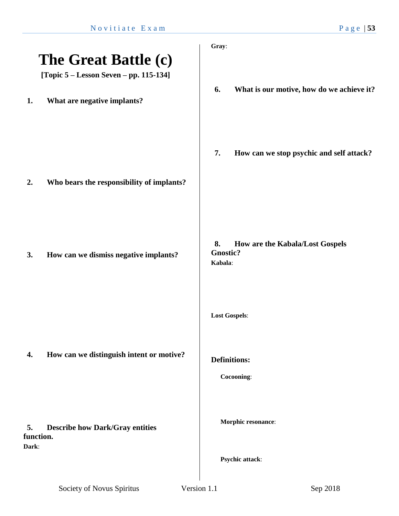|                          |                                                                | Gray:                                                               |
|--------------------------|----------------------------------------------------------------|---------------------------------------------------------------------|
|                          | The Great Battle (c)<br>[Topic 5 – Lesson Seven – pp. 115-134] |                                                                     |
| 1.                       | What are negative implants?                                    | What is our motive, how do we achieve it?<br>6.                     |
| 2.                       | Who bears the responsibility of implants?                      | 7.<br>How can we stop psychic and self attack?                      |
| 3.                       | How can we dismiss negative implants?                          | How are the Kabala/Lost Gospels<br>8.<br><b>Gnostic?</b><br>Kabala: |
|                          |                                                                | <b>Lost Gospels:</b>                                                |
| 4.                       | How can we distinguish intent or motive?                       | <b>Definitions:</b><br>Cocooning:                                   |
| 5.<br>function.<br>Dark: | <b>Describe how Dark/Gray entities</b>                         | Morphic resonance:                                                  |
|                          |                                                                | Psychic attack:                                                     |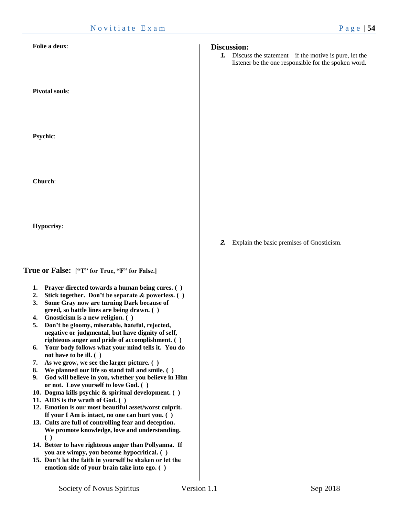#### **Folie a deux**:

**Pivotal souls**:

**Psychic**:

**Church**:

**Hypocrisy**:

### **True or False: ["T" for True, "F" for False.]**

- **1. Prayer directed towards a human being cures. ( )**
- **2. Stick together. Don't be separate & powerless. ( )**
- **3. Some Gray now are turning Dark because of greed, so battle lines are being drawn. ( )**
- **4. Gnosticism is a new religion. ( )**
- **5. Don't be gloomy, miserable, hateful, rejected, negative or judgmental, but have dignity of self, righteous anger and pride of accomplishment. ( )**
- **6. Your body follows what your mind tells it. You do not have to be ill. ( )**
- **7. As we grow, we see the larger picture. ( )**
- **8. We planned our life so stand tall and smile. ( )**
- **9. God will believe in you, whether you believe in Him or not. Love yourself to love God. ( )**
- **10. Dogma kills psychic & spiritual development. ( )**
- **11. AIDS is the wrath of God. ( )**
- **12. Emotion is our most beautiful asset/worst culprit. If your I Am is intact, no one can hurt you. ( )**
- **13. Cults are full of controlling fear and deception. We promote knowledge, love and understanding. ( )**
- **14. Better to have righteous anger than Pollyanna. If you are wimpy, you become hypocritical. ( )**
- **15. Don't let the faith in yourself be shaken or let the emotion side of your brain take into ego. ( )**

#### **Discussion:**

*1.* Discuss the statement—if the motive is pure, let the listener be the one responsible for the spoken word.

*2.* Explain the basic premises of Gnosticism.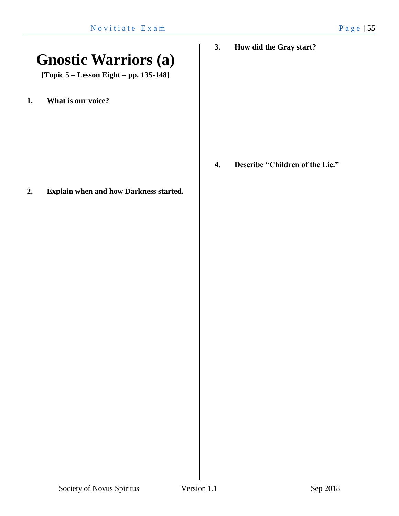# **Gnostic Warriors (a)**

**[Topic 5 – Lesson Eight – pp. 135-148]**

**1. What is our voice?**

**2. Explain when and how Darkness started.**

**3. How did the Gray start?**

**4. Describe "Children of the Lie."**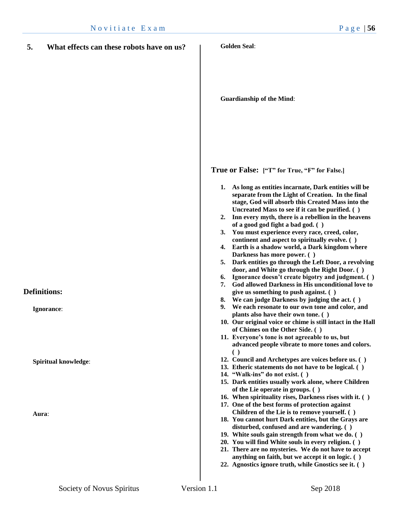| 5.<br>What effects can these robots have on us? | <b>Golden Seal:</b>                                                                                                                                                                                                                                                                                                                                                                                                                                                                                                                                                                                                                                                                                                                                                                                                                                                                                                                                                                                                                                                                                                                                                                                     |
|-------------------------------------------------|---------------------------------------------------------------------------------------------------------------------------------------------------------------------------------------------------------------------------------------------------------------------------------------------------------------------------------------------------------------------------------------------------------------------------------------------------------------------------------------------------------------------------------------------------------------------------------------------------------------------------------------------------------------------------------------------------------------------------------------------------------------------------------------------------------------------------------------------------------------------------------------------------------------------------------------------------------------------------------------------------------------------------------------------------------------------------------------------------------------------------------------------------------------------------------------------------------|
|                                                 | <b>Guardianship of the Mind:</b>                                                                                                                                                                                                                                                                                                                                                                                                                                                                                                                                                                                                                                                                                                                                                                                                                                                                                                                                                                                                                                                                                                                                                                        |
| <b>Definitions:</b><br>Ignorance:               | True or False: ["T" for True, "F" for False.]<br>As long as entities incarnate, Dark entities will be<br>1.<br>separate from the Light of Creation. In the final<br>stage, God will absorb this Created Mass into the<br>Uncreated Mass to see if it can be purified. ()<br>2. Inn every myth, there is a rebellion in the heavens<br>of a good god fight a bad god. ()<br>3. You must experience every race, creed, color,<br>continent and aspect to spiritually evolve. ()<br>4. Earth is a shadow world, a Dark kingdom where<br>Darkness has more power. ()<br>5. Dark entities go through the Left Door, a revolving<br>door, and White go through the Right Door. ()<br>Ignorance doesn't create bigotry and judgment. ()<br>6.<br>7. God allowed Darkness in His unconditional love to<br>give us something to push against. ()<br>We can judge Darkness by judging the act. ()<br>8.<br>We each resonate to our own tone and color, and<br>9.<br>plants also have their own tone. ()<br>10. Our original voice or chime is still intact in the Hall<br>of Chimes on the Other Side. ()<br>11. Everyone's tone is not agreeable to us, but<br>advanced people vibrate to more tones and colors. |
| <b>Spiritual knowledge:</b><br>Aura:            | $\left( \ \right)$<br>12. Council and Archetypes are voices before us. ()<br>13. Etheric statements do not have to be logical. ()<br>14. "Walk-ins" do not exist. ()<br>15. Dark entities usually work alone, where Children<br>of the Lie operate in groups. ()<br>16. When spirituality rises, Darkness rises with it. ()<br>17. One of the best forms of protection against<br>Children of the Lie is to remove yourself. ()<br>18. You cannot hurt Dark entities, but the Grays are<br>disturbed, confused and are wandering. ()                                                                                                                                                                                                                                                                                                                                                                                                                                                                                                                                                                                                                                                                    |
|                                                 | 19. White souls gain strength from what we do. ()<br>20. You will find White souls in every religion. ()<br>21. There are no mysteries. We do not have to accept<br>anything on faith, but we accept it on logic. ()<br>22. Agnostics ignore truth, while Gnostics see it. ()                                                                                                                                                                                                                                                                                                                                                                                                                                                                                                                                                                                                                                                                                                                                                                                                                                                                                                                           |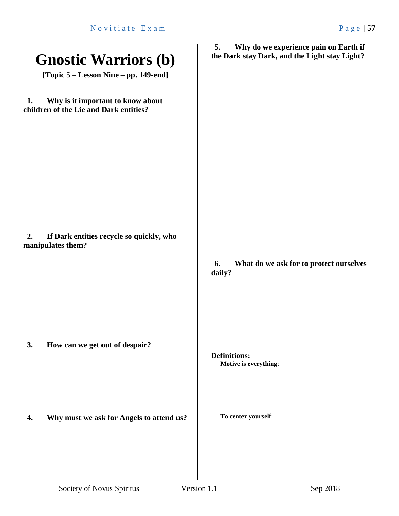| <b>Gnostic Warriors (b)</b><br>[Topic 5 – Lesson Nine – pp. 149-end]              | Why do we experience pain on Earth if<br>5.<br>the Dark stay Dark, and the Light stay Light? |
|-----------------------------------------------------------------------------------|----------------------------------------------------------------------------------------------|
| Why is it important to know about<br>1.<br>children of the Lie and Dark entities? |                                                                                              |
| If Dark entities recycle so quickly, who<br>2.<br>manipulates them?               | What do we ask for to protect ourselves<br>6.<br>daily?                                      |
| How can we get out of despair?<br>3.                                              | <b>Definitions:</b><br>Motive is everything:                                                 |
| Why must we ask for Angels to attend us?<br>4.                                    | To center yourself:                                                                          |